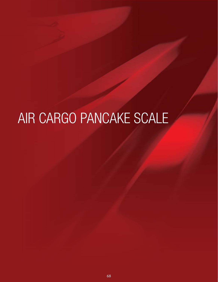# AIR CARGO PANCAKE SCALE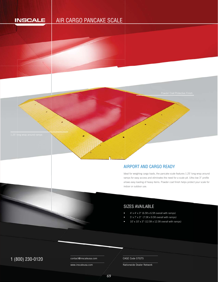# **INSCALE**

# AIR CARGO PANCAKE SCALE



# AIRPORT AND CARGO READY APowder Coat Protective Finish<br>
AIRPORT AND CARGO READY

Ideal for weighing cargo loads, the pancake scale features 1.25' long wrap around d ramps for easy access and eliminates the need for a scale pit. Ultra low 3" profile allows easy loading of heavy items. Powder coat finish helps protect your scale for indoor or outdoor use.

# SIZES AVAILABLE

- $4'$  x  $4'$  x  $3"$  (6.5ft x 6.5ft overall with ramps)
- $5'$  x  $7'$  x  $3''$  (7.5ft x 9.5ft overall with ramps)
- 10' x 10' x 3" (12.5ft x 12.5ft overall with ramps)

1 (800) 230-0120 Contact@inscaleusa.com CAGE Code 07GT5

contact@inscaleusa.com

www.inscaleusa.com

Nationwide Dealer Network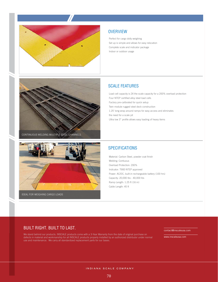

#### **OVERVIEW**

Perfect for cargo dolly weighing Set up is simple and allows for easy relocation Complete scale and indicator package Indoor or outdoor usage

## SCALE FEATURES

Load cell capacity is 2X the scale capacity for a 200% overload protection Four NTEP certified alloy steel load cells Factory pre-calibrated for quick setup Twin module rugged steel deck construction 1.25' long wrap around ramps for easy access and eliminates the need for a scale pit Ultra low 3" profile allows easy loading of heavy items



CONTINUOUS WELDING MULTIPLE STEEL CHANNELS

### SPECIFICATIONS

Material: Carbon Steel, powder coat finish Welding: Contiuous Overload Protection: 200% Indicator: T900 NTEP approved Power: AC/DC, built-in rechargeable battery (100 hrs) Capacity: 20,000 lbs - 40,000 lbs Ramp Length: 1.25 ft (16 in) Cable Length: 45 ft

#### BUILT RIGHT. BUILT TO LAST.

We stand behind our products. INSCALE products come with a 3-Year Warranty from the date of original purchase on defects in material and workmanship for all INSCALE products properly installed by an authorized distributor under normal use and maintenance. We carry all standardized replacement parts for our bases.

contact@inscaleusa.com

www.inscaleusa.com

#### INDIANA SCALE COMPANY

70